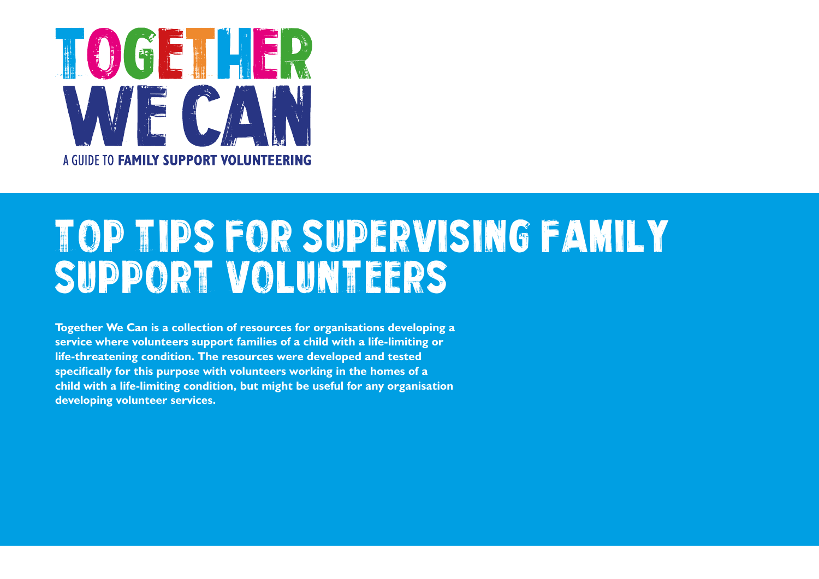

## Top Tips for supervising family support volunteers

**Together We Can is a collection of resources for organisations developing a service where volunteers support families of a child with a life-limiting or life-threatening condition. The resources were developed and tested specifically for this purpose with volunteers working in the homes of a child with a life-limiting condition, but might be useful for any organisation developing volunteer services.**